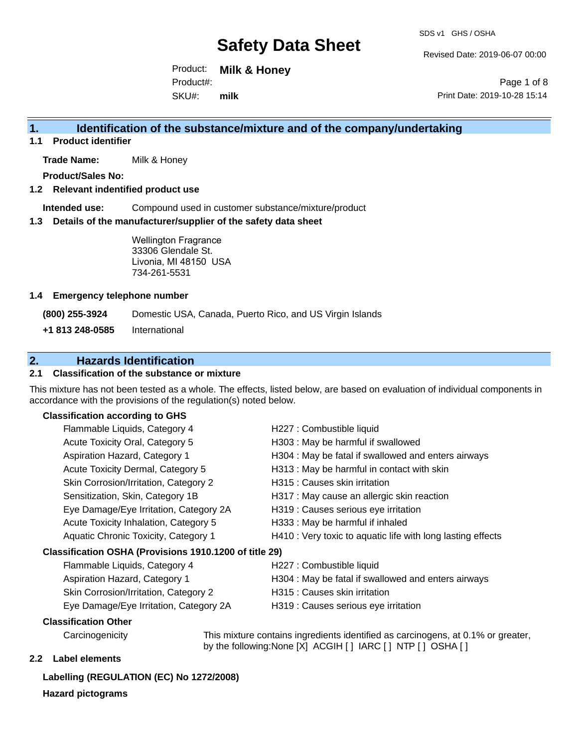Revised Date: 2019-06-07 00:00

Product: **Milk & Honey** SKU#: Product#: **milk**

Page 1 of 8 Print Date: 2019-10-28 15:14

#### **1. Identification of the substance/mixture and of the company/undertaking**

**1.1 Product identifier**

**Trade Name:** Milk & Honey

**Product/Sales No:**

#### **1.2 Relevant indentified product use**

**Intended use:** Compound used in customer substance/mixture/product

#### **1.3 Details of the manufacturer/supplier of the safety data sheet**

Wellington Fragrance 33306 Glendale St. Livonia, MI 48150 USA 734-261-5531

#### **1.4 Emergency telephone number**

**(800) 255-3924** Domestic USA, Canada, Puerto Rico, and US Virgin Islands

**+1 813 248-0585** International

### **2. Hazards Identification**

#### **2.1 Classification of the substance or mixture**

This mixture has not been tested as a whole. The effects, listed below, are based on evaluation of individual components in accordance with the provisions of the regulation(s) noted below.

#### **Classification according to GHS**

| Flammable Liquids, Category 4                          | H227 : Combustible liquid                                   |
|--------------------------------------------------------|-------------------------------------------------------------|
| Acute Toxicity Oral, Category 5                        | H303 : May be harmful if swallowed                          |
| Aspiration Hazard, Category 1                          | H304 : May be fatal if swallowed and enters airways         |
| Acute Toxicity Dermal, Category 5                      | H313 : May be harmful in contact with skin                  |
| Skin Corrosion/Irritation, Category 2                  | H315 : Causes skin irritation                               |
| Sensitization, Skin, Category 1B                       | H317 : May cause an allergic skin reaction                  |
| Eye Damage/Eye Irritation, Category 2A                 | H319 : Causes serious eye irritation                        |
| Acute Toxicity Inhalation, Category 5                  | H333: May be harmful if inhaled                             |
| Aquatic Chronic Toxicity, Category 1                   | H410 : Very toxic to aquatic life with long lasting effects |
| Classification OSHA (Provisions 1910.1200 of title 29) |                                                             |
| Flammable Liquids, Category 4                          | H227 : Combustible liquid                                   |
|                                                        |                                                             |

| Flammable Liquids, Category 4          | H227 : Combustible liquid                           |
|----------------------------------------|-----------------------------------------------------|
| Aspiration Hazard, Category 1          | H304 : May be fatal if swallowed and enters airways |
| Skin Corrosion/Irritation, Category 2  | H315 : Causes skin irritation                       |
| Eye Damage/Eye Irritation, Category 2A | H319 : Causes serious eye irritation                |

#### **Classification Other**

Carcinogenicity This mixture contains ingredients identified as carcinogens, at 0.1% or greater, by the following:None [X] ACGIH [ ] IARC [ ] NTP [ ] OSHA [ ]

#### **2.2 Label elements**

#### **Labelling (REGULATION (EC) No 1272/2008)**

**Hazard pictograms**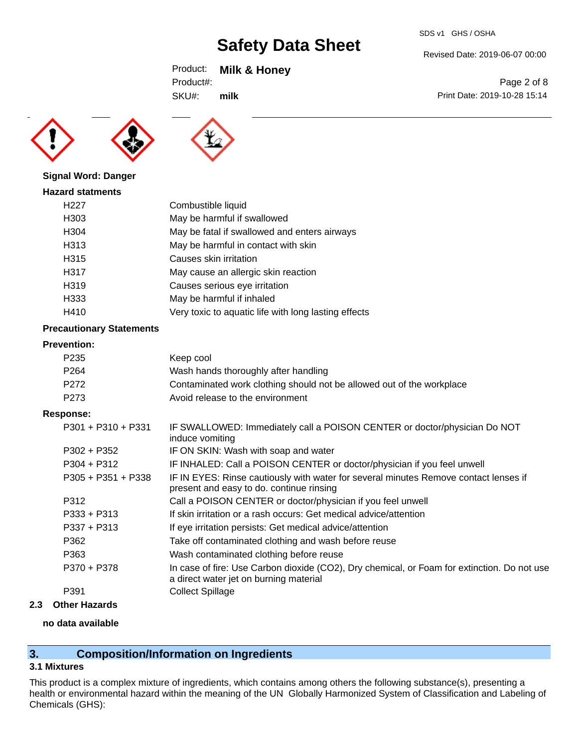#### SDS v1 GHS / OSHA

Revised Date: 2019-06-07 00:00

Print Date: 2019-10-28 15:14

Page 2 of 8

### Product: **Milk & Honey**

Product#: **milk**

SKU#:





#### **Signal Word: Danger**

| <b>Hazard statments</b> |                                                      |
|-------------------------|------------------------------------------------------|
| H <sub>22</sub> 7       | Combustible liquid                                   |
| H303                    | May be harmful if swallowed                          |
| H304                    | May be fatal if swallowed and enters airways         |
| H313                    | May be harmful in contact with skin                  |
| H315                    | Causes skin irritation                               |
| H317                    | May cause an allergic skin reaction                  |
| H319                    | Causes serious eye irritation                        |
| H333                    | May be harmful if inhaled                            |
| H410                    | Very toxic to aquatic life with long lasting effects |
|                         |                                                      |

#### **Precautionary Statements**

#### **Prevention:**

| P <sub>235</sub> | Keep cool                                                             |
|------------------|-----------------------------------------------------------------------|
| P <sub>264</sub> | Wash hands thoroughly after handling                                  |
| P272             | Contaminated work clothing should not be allowed out of the workplace |
| P273             | Avoid release to the environment                                      |
|                  |                                                                       |

#### **Response:**

| $P301 + P310 + P331$ | IF SWALLOWED: Immediately call a POISON CENTER or doctor/physician Do NOT<br>induce vomiting                                          |
|----------------------|---------------------------------------------------------------------------------------------------------------------------------------|
| $P302 + P352$        | IF ON SKIN: Wash with soap and water                                                                                                  |
| $P304 + P312$        | IF INHALED: Call a POISON CENTER or doctor/physician if you feel unwell                                                               |
| $P305 + P351 + P338$ | IF IN EYES: Rinse cautiously with water for several minutes Remove contact lenses if<br>present and easy to do. continue rinsing      |
| P312                 | Call a POISON CENTER or doctor/physician if you feel unwell                                                                           |
| $P333 + P313$        | If skin irritation or a rash occurs: Get medical advice/attention                                                                     |
| $P337 + P313$        | If eye irritation persists: Get medical advice/attention                                                                              |
| P362                 | Take off contaminated clothing and wash before reuse                                                                                  |
| P363                 | Wash contaminated clothing before reuse                                                                                               |
| P370 + P378          | In case of fire: Use Carbon dioxide (CO2), Dry chemical, or Foam for extinction. Do not use<br>a direct water jet on burning material |
| P391                 | <b>Collect Spillage</b>                                                                                                               |

#### **2.3 Other Hazards**

#### **no data available**

### **3. Composition/Information on Ingredients**

### **3.1 Mixtures**

This product is a complex mixture of ingredients, which contains among others the following substance(s), presenting a health or environmental hazard within the meaning of the UN Globally Harmonized System of Classification and Labeling of Chemicals (GHS):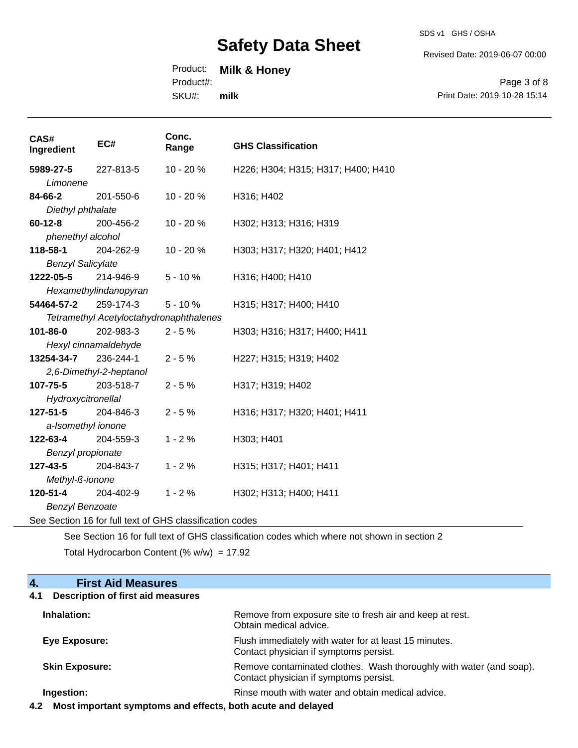SDS v1 GHS / OSHA

Revised Date: 2019-06-07 00:00

Product: **Milk & Honey**

Product#:

SKU#: **milk**

Page 3 of 8 Print Date: 2019-10-28 15:14

| CAS#<br>Ingredient                                       | EC#                                     | Conc.<br>Range | <b>GHS Classification</b>          |
|----------------------------------------------------------|-----------------------------------------|----------------|------------------------------------|
| 5989-27-5                                                | 227-813-5                               | 10 - 20 %      | H226; H304; H315; H317; H400; H410 |
| Limonene                                                 |                                         |                |                                    |
| 84-66-2                                                  | 201-550-6                               | $10 - 20%$     | H316; H402                         |
| Diethyl phthalate                                        |                                         |                |                                    |
| $60 - 12 - 8$                                            | 200-456-2                               | 10 - 20 %      | H302; H313; H316; H319             |
| phenethyl alcohol                                        |                                         |                |                                    |
| 118-58-1                                                 | 204-262-9                               | 10 - 20 %      | H303; H317; H320; H401; H412       |
| <b>Benzyl Salicylate</b>                                 |                                         |                |                                    |
| 1222-05-5                                                | 214-946-9                               | $5 - 10%$      | H316; H400; H410                   |
|                                                          | Hexamethylindanopyran                   |                |                                    |
| 54464-57-2                                               | 259-174-3                               | $5 - 10%$      | H315; H317; H400; H410             |
|                                                          | Tetramethyl Acetyloctahydronaphthalenes |                |                                    |
| 101-86-0                                                 | 202-983-3                               | $2 - 5%$       | H303; H316; H317; H400; H411       |
|                                                          | Hexyl cinnamaldehyde                    |                |                                    |
| 13254-34-7                                               | 236-244-1                               | $2 - 5%$       | H227; H315; H319; H402             |
|                                                          | 2,6-Dimethyl-2-heptanol                 |                |                                    |
| 107-75-5                                                 | 203-518-7                               | $2 - 5%$       | H317; H319; H402                   |
| Hydroxycitronellal                                       |                                         |                |                                    |
| $127 - 51 - 5$                                           | 204-846-3                               | $2 - 5%$       | H316; H317; H320; H401; H411       |
| a-Isomethyl ionone                                       |                                         |                |                                    |
| 122-63-4                                                 | 204-559-3                               | $1 - 2%$       | H303; H401                         |
| Benzyl propionate                                        |                                         |                |                                    |
| 127-43-5                                                 | 204-843-7                               | $1 - 2%$       | H315; H317; H401; H411             |
| Methyl-ß-ionone                                          |                                         |                |                                    |
| 120-51-4                                                 | 204-402-9                               | $1 - 2%$       | H302; H313; H400; H411             |
| <b>Benzyl Benzoate</b>                                   |                                         |                |                                    |
| See Section 16 for full text of GHS classification codes |                                         |                |                                    |

See Section 16 for full text of GHS classification codes which where not shown in section 2

Total Hydrocarbon Content (%  $w/w$ ) = 17.92

| 4.<br><b>First Aid Measures</b>                                 |                                                                                                               |
|-----------------------------------------------------------------|---------------------------------------------------------------------------------------------------------------|
| <b>Description of first aid measures</b><br>4.1                 |                                                                                                               |
| Inhalation:                                                     | Remove from exposure site to fresh air and keep at rest.<br>Obtain medical advice.                            |
| Eye Exposure:                                                   | Flush immediately with water for at least 15 minutes.<br>Contact physician if symptoms persist.               |
| <b>Skin Exposure:</b>                                           | Remove contaminated clothes. Wash thoroughly with water (and soap).<br>Contact physician if symptoms persist. |
| Ingestion:                                                      | Rinse mouth with water and obtain medical advice.                                                             |
| 4.2 Most important symptoms and effects, both acute and delayed |                                                                                                               |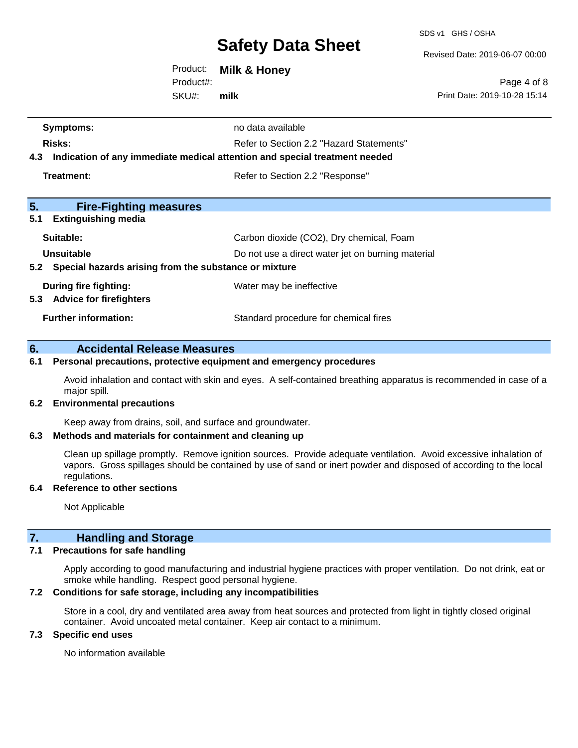SDS v1 GHS / OSHA

Revised Date: 2019-06-07 00:00

Print Date: 2019-10-28 15:14

Page 4 of 8

Product: **Milk & Honey** Product#:

SKU#: **milk**

| <b>Symptoms:</b>                                                                  | no data available                                 |  |  |
|-----------------------------------------------------------------------------------|---------------------------------------------------|--|--|
| Risks:                                                                            | Refer to Section 2.2 "Hazard Statements"          |  |  |
| Indication of any immediate medical attention and special treatment needed<br>4.3 |                                                   |  |  |
| Treatment:                                                                        | Refer to Section 2.2 "Response"                   |  |  |
| 5.<br><b>Fire-Fighting measures</b>                                               |                                                   |  |  |
| 5.1<br><b>Extinguishing media</b>                                                 |                                                   |  |  |
| Suitable:                                                                         | Carbon dioxide (CO2), Dry chemical, Foam          |  |  |
| Unsuitable                                                                        | Do not use a direct water jet on burning material |  |  |
| 5.2 Special hazards arising from the substance or mixture                         |                                                   |  |  |
| During fire fighting:<br>5.3 Advice for firefighters                              | Water may be ineffective                          |  |  |
| <b>Further information:</b>                                                       | Standard procedure for chemical fires             |  |  |
|                                                                                   |                                                   |  |  |

#### **6. Accidental Release Measures**

#### **6.1 Personal precautions, protective equipment and emergency procedures**

Avoid inhalation and contact with skin and eyes. A self-contained breathing apparatus is recommended in case of a major spill.

#### **6.2 Environmental precautions**

Keep away from drains, soil, and surface and groundwater.

#### **6.3 Methods and materials for containment and cleaning up**

Clean up spillage promptly. Remove ignition sources. Provide adequate ventilation. Avoid excessive inhalation of vapors. Gross spillages should be contained by use of sand or inert powder and disposed of according to the local regulations.

#### **6.4 Reference to other sections**

Not Applicable

### **7. Handling and Storage**

#### **7.1 Precautions for safe handling**

Apply according to good manufacturing and industrial hygiene practices with proper ventilation. Do not drink, eat or smoke while handling. Respect good personal hygiene.

#### **7.2 Conditions for safe storage, including any incompatibilities**

Store in a cool, dry and ventilated area away from heat sources and protected from light in tightly closed original container. Avoid uncoated metal container. Keep air contact to a minimum.

#### **7.3 Specific end uses**

No information available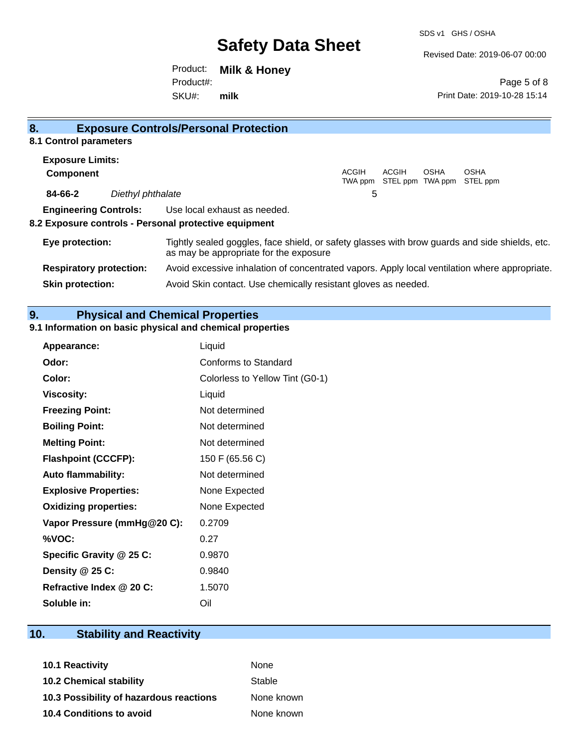Revised Date: 2019-06-07 00:00

Product: **Milk & Honey** SKU#: Product#: **milk**

Page 5 of 8 Print Date: 2019-10-28 15:14

| 8.                             |                              | <b>Exposure Controls/Personal Protection</b>                                                                                             |         |       |             |                           |
|--------------------------------|------------------------------|------------------------------------------------------------------------------------------------------------------------------------------|---------|-------|-------------|---------------------------|
| 8.1 Control parameters         |                              |                                                                                                                                          |         |       |             |                           |
| <b>Exposure Limits:</b>        |                              |                                                                                                                                          |         |       |             |                           |
| <b>Component</b>               |                              |                                                                                                                                          | ACGIH   | ACGIH | <b>OSHA</b> | OSHA                      |
|                                |                              |                                                                                                                                          | TWA ppm |       |             | STEL ppm TWA ppm STEL ppm |
| 84-66-2                        | Diethyl phthalate            |                                                                                                                                          | 5       |       |             |                           |
|                                | <b>Engineering Controls:</b> | Use local exhaust as needed.                                                                                                             |         |       |             |                           |
|                                |                              | 8.2 Exposure controls - Personal protective equipment                                                                                    |         |       |             |                           |
| Eye protection:                |                              | Tightly sealed goggles, face shield, or safety glasses with brow guards and side shields, etc.<br>as may be appropriate for the exposure |         |       |             |                           |
| <b>Respiratory protection:</b> |                              | Avoid excessive inhalation of concentrated vapors. Apply local ventilation where appropriate.                                            |         |       |             |                           |
| <b>Skin protection:</b>        |                              | Avoid Skin contact. Use chemically resistant gloves as needed.                                                                           |         |       |             |                           |

### **9. Physical and Chemical Properties**

### **9.1 Information on basic physical and chemical properties**

| <b>Appearance:</b>           | Liquid                          |
|------------------------------|---------------------------------|
| Odor:                        | Conforms to Standard            |
| Color:                       | Colorless to Yellow Tint (G0-1) |
| <b>Viscosity:</b>            | Liquid                          |
| <b>Freezing Point:</b>       | Not determined                  |
| <b>Boiling Point:</b>        | Not determined                  |
| <b>Melting Point:</b>        | Not determined                  |
| <b>Flashpoint (CCCFP):</b>   | 150 F (65.56 C)                 |
| Auto flammability:           | Not determined                  |
| <b>Explosive Properties:</b> | None Expected                   |
| <b>Oxidizing properties:</b> | None Expected                   |
| Vapor Pressure (mmHg@20 C):  | 0.2709                          |
| %VOC:                        | 0.27                            |
| Specific Gravity @ 25 C:     | 0.9870                          |
| Density @ 25 C:              | 0.9840                          |
| Refractive Index @ 20 C:     | 1.5070                          |
| Soluble in:                  | Oil                             |

### **10. Stability and Reactivity**

| 10.1 Reactivity                         | <b>None</b> |
|-----------------------------------------|-------------|
| <b>10.2 Chemical stability</b>          | Stable      |
| 10.3 Possibility of hazardous reactions | None known  |
| <b>10.4 Conditions to avoid</b>         | None known  |
|                                         |             |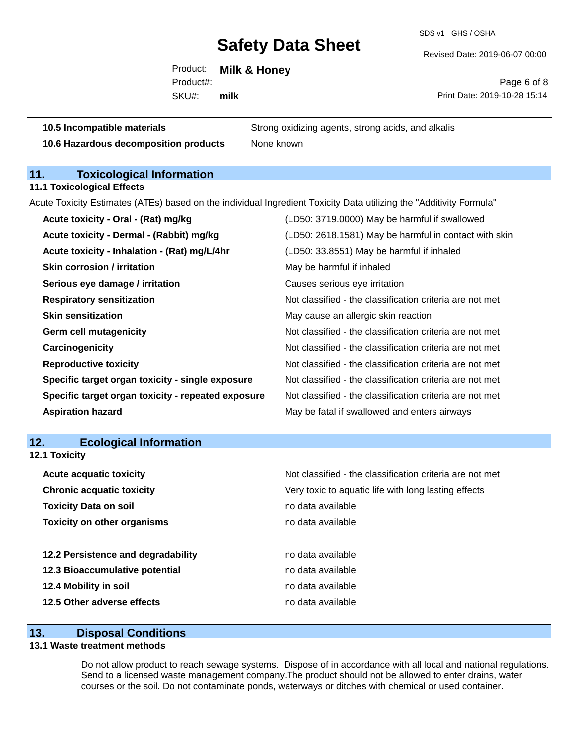SDS v1 GHS / OSHA

Revised Date: 2019-06-07 00:00

Product: **Milk & Honey** SKU#: Product#: **milk**

Page 6 of 8 Print Date: 2019-10-28 15:14

**10.5 Incompatible materials** Strong oxidizing agents, strong acids, and alkalis **10.6 Hazardous decomposition products** None known

## **11. Toxicological Information**

**11.1 Toxicological Effects**

Acute Toxicity Estimates (ATEs) based on the individual Ingredient Toxicity Data utilizing the "Additivity Formula"

| Acute toxicity - Oral - (Rat) mg/kg                | (LD50: 3719.0000) May be harmful if swallowed            |
|----------------------------------------------------|----------------------------------------------------------|
| Acute toxicity - Dermal - (Rabbit) mg/kg           | (LD50: 2618.1581) May be harmful in contact with skin    |
| Acute toxicity - Inhalation - (Rat) mg/L/4hr       | (LD50: 33.8551) May be harmful if inhaled                |
| <b>Skin corrosion / irritation</b>                 | May be harmful if inhaled                                |
| Serious eye damage / irritation                    | Causes serious eye irritation                            |
| <b>Respiratory sensitization</b>                   | Not classified - the classification criteria are not met |
| <b>Skin sensitization</b>                          | May cause an allergic skin reaction                      |
| <b>Germ cell mutagenicity</b>                      | Not classified - the classification criteria are not met |
| Carcinogenicity                                    | Not classified - the classification criteria are not met |
| <b>Reproductive toxicity</b>                       | Not classified - the classification criteria are not met |
| Specific target organ toxicity - single exposure   | Not classified - the classification criteria are not met |
| Specific target organ toxicity - repeated exposure | Not classified - the classification criteria are not met |
| <b>Aspiration hazard</b>                           | May be fatal if swallowed and enters airways             |

#### **12. Ecological Information**

| Not classified - the classification criteria are not met |
|----------------------------------------------------------|
| Very toxic to aquatic life with long lasting effects     |
| no data available                                        |
| no data available                                        |
| no data available                                        |
| no data available                                        |
| no data available                                        |
| no data available                                        |
|                                                          |

#### **13. Disposal Conditions**

#### **13.1 Waste treatment methods**

Do not allow product to reach sewage systems. Dispose of in accordance with all local and national regulations. Send to a licensed waste management company.The product should not be allowed to enter drains, water courses or the soil. Do not contaminate ponds, waterways or ditches with chemical or used container.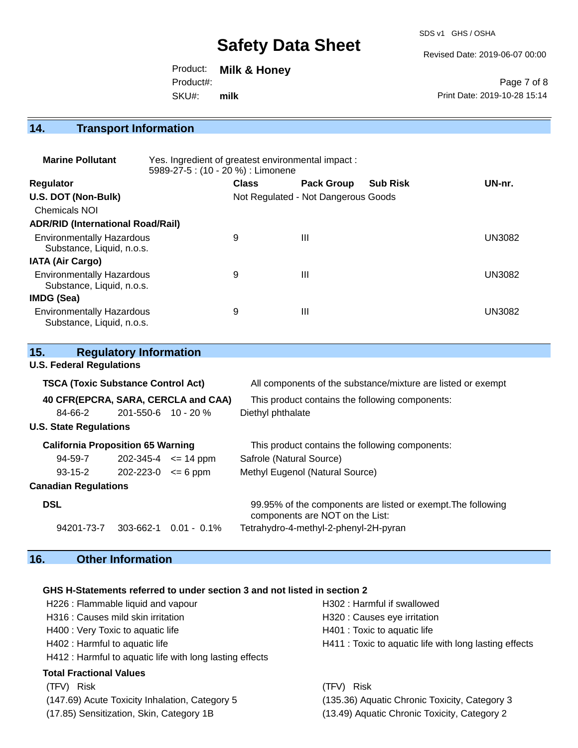SDS v1 GHS / OSHA

Revised Date: 2019-06-07 00:00

Product: **Milk & Honey** SKU#: Product#: **milk**

Page 7 of 8 Print Date: 2019-10-28 15:14

### **14. Transport Information**

| <b>Marine Pollutant</b>                                       | Yes. Ingredient of greatest environmental impact:<br>5989-27-5 : (10 - 20 %) : Limonene |              |                                     |                 |               |
|---------------------------------------------------------------|-----------------------------------------------------------------------------------------|--------------|-------------------------------------|-----------------|---------------|
| <b>Regulator</b>                                              |                                                                                         | <b>Class</b> | <b>Pack Group</b>                   | <b>Sub Risk</b> | UN-nr.        |
| U.S. DOT (Non-Bulk)                                           |                                                                                         |              | Not Regulated - Not Dangerous Goods |                 |               |
| <b>Chemicals NOI</b>                                          |                                                                                         |              |                                     |                 |               |
| <b>ADR/RID (International Road/Rail)</b>                      |                                                                                         |              |                                     |                 |               |
| <b>Environmentally Hazardous</b><br>Substance, Liquid, n.o.s. |                                                                                         | 9            | $\mathbf{III}$                      |                 | <b>UN3082</b> |
| <b>IATA (Air Cargo)</b>                                       |                                                                                         |              |                                     |                 |               |
| <b>Environmentally Hazardous</b><br>Substance, Liquid, n.o.s. |                                                                                         | 9            | $\mathbf{III}$                      |                 | <b>UN3082</b> |
| <b>IMDG (Sea)</b>                                             |                                                                                         |              |                                     |                 |               |
| <b>Environmentally Hazardous</b><br>Substance, Liquid, n.o.s. |                                                                                         | 9            | $\mathbf{III}$                      |                 | <b>UN3082</b> |

| 15.                                       | <b>Regulatory Information</b> |                             |                                                                                                 |
|-------------------------------------------|-------------------------------|-----------------------------|-------------------------------------------------------------------------------------------------|
| <b>U.S. Federal Regulations</b>           |                               |                             |                                                                                                 |
| <b>TSCA (Toxic Substance Control Act)</b> |                               |                             | All components of the substance/mixture are listed or exempt                                    |
| 40 CFR(EPCRA, SARA, CERCLA and CAA)       |                               |                             | This product contains the following components:                                                 |
| 84-66-2                                   | $201 - 550 - 6$ 10 - 20 %     |                             | Diethyl phthalate                                                                               |
| <b>U.S. State Regulations</b>             |                               |                             |                                                                                                 |
| <b>California Proposition 65 Warning</b>  |                               |                             | This product contains the following components:                                                 |
| 94-59-7                                   |                               | $202 - 345 - 4 \leq 14$ ppm | Safrole (Natural Source)                                                                        |
| $93 - 15 - 2$                             | $202 - 223 - 0 \le 6$ ppm     |                             | Methyl Eugenol (Natural Source)                                                                 |
| <b>Canadian Regulations</b>               |                               |                             |                                                                                                 |
| <b>DSL</b>                                |                               |                             | 99.95% of the components are listed or exempt. The following<br>components are NOT on the List: |
| 94201-73-7                                | 303-662-1                     | $0.01 - 0.1\%$              | Tetrahydro-4-methyl-2-phenyl-2H-pyran                                                           |

## **16. Other Information**

#### **GHS H-Statements referred to under section 3 and not listed in section 2**

| H226 : Flammable liquid and vapour                       | H302: Harmful if swallowed                             |
|----------------------------------------------------------|--------------------------------------------------------|
| H316 : Causes mild skin irritation                       | H320 : Causes eye irritation                           |
| H400 : Very Toxic to aquatic life                        | H401 : Toxic to aquatic life                           |
| H402 : Harmful to aquatic life                           | H411 : Toxic to aquatic life with long lasting effects |
| H412 : Harmful to aquatic life with long lasting effects |                                                        |
| <b>Total Fractional Values</b>                           |                                                        |
| <b>Risk</b><br>(TFV)                                     | <b>Risk</b><br>(TFV).                                  |
| (147.69) Acute Toxicity Inhalation, Category 5           | (135.36) Aquatic Chronic Toxicity, Category 3          |
| (17.85) Sensitization, Skin, Category 1B                 | (13.49) Aquatic Chronic Toxicity, Category 2           |